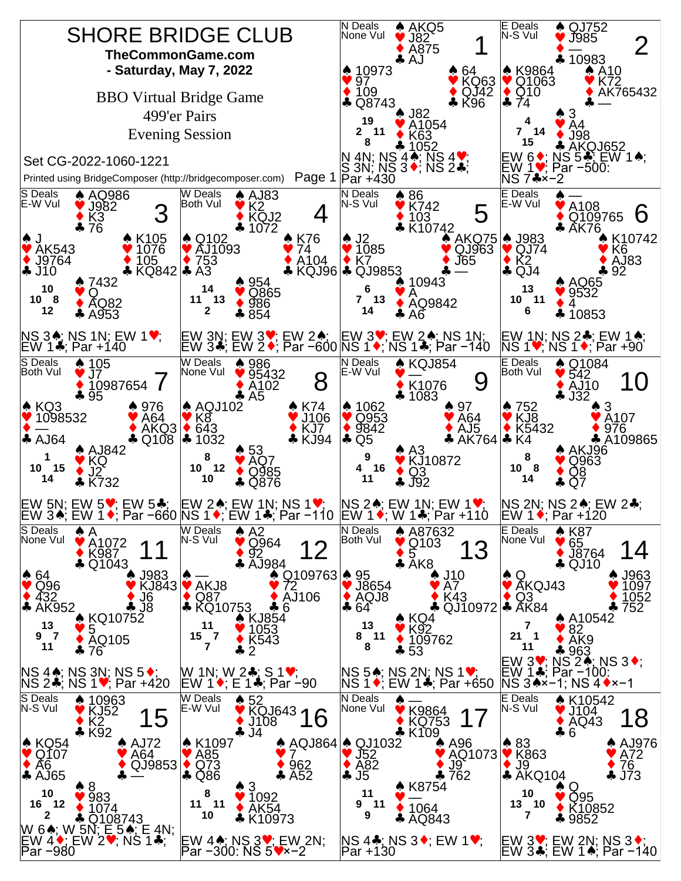